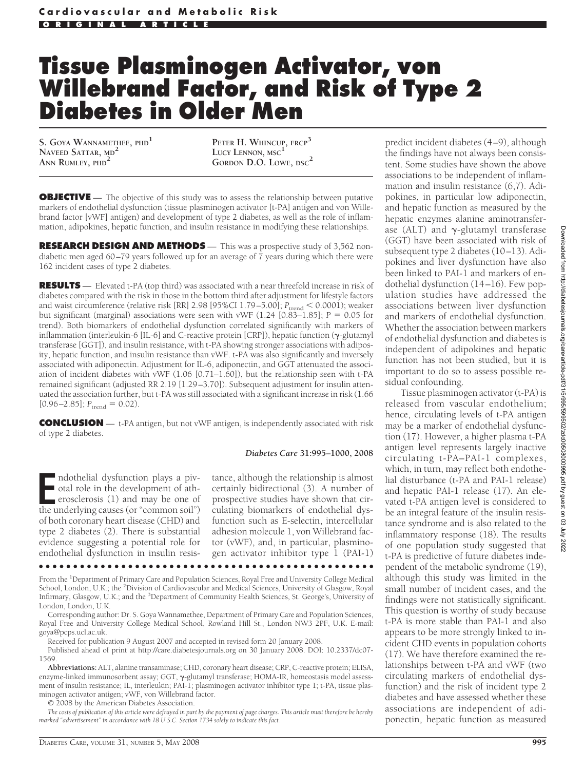# **Tissue Plasminogen Activator, von Willebrand Factor, and Risk of Type 2 Diabetes in Older Men**

**S. GOYA WANNAMETHEE, PHD<sup>1</sup> NAVEED SATTAR, MD<sup>2</sup> ANN RUMLEY, PHD<sup>2</sup>**

**PETER H. WHINCUP, FRCP<sup>3</sup>** LUCY LENNON, MSC<sup>1</sup> **GORDON D.O. LOWE, DSC<sup>2</sup>**

**OBJECTIVE** — The objective of this study was to assess the relationship between putative markers of endothelial dysfunction (tissue plasminogen activator [t-PA] antigen and von Willebrand factor [vWF] antigen) and development of type 2 diabetes, as well as the role of inflammation, adipokines, hepatic function, and insulin resistance in modifying these relationships.

**RESEARCH DESIGN AND METHODS** — This was a prospective study of 3,562 nondiabetic men aged 60–79 years followed up for an average of 7 years during which there were 162 incident cases of type 2 diabetes.

**RESULTS** — Elevated t-PA (top third) was associated with a near threefold increase in risk of diabetes compared with the risk in those in the bottom third after adjustment for lifestyle factors and waist circumference (relative risk [RR] 2.98 [95%CI 1.79–5.00];  $P_{\text{trend}} < 0.0001$ ); weaker but significant (marginal) associations were seen with vWF  $(1.24 \, [0.83-1.85]; P = 0.05$  for trend). Both biomarkers of endothelial dysfunction correlated significantly with markers of inflammation (interleukin-6 [IL-6] and C-reactive protein [CRP]), hepatic function ( $\gamma$ -glutamyl transferase [GGT]), and insulin resistance, with t-PA showing stronger associations with adiposity, hepatic function, and insulin resistance than vWF. t-PA was also significantly and inversely associated with adiponectin. Adjustment for IL-6, adiponectin, and GGT attenuated the association of incident diabetes with vWF (1.06 [0.71–1.60]), but the relationship seen with t-PA remained significant (adjusted RR 2.19 [1.29–3.70]). Subsequent adjustment for insulin attenuated the association further, but t-PA was still associated with a significant increase in risk (1.66  $[0.96 - 2.85]$ ;  $P_{\text{trend}} = 0.02$ ).

**CONCLUSION** — t-PA antigen, but not vWF antigen, is independently associated with risk of type 2 diabetes.

#### *Diabetes Care* **31:995–1000, 2008**

**E E**ndothelial dysfunction plays a piv-<br>
otal role in the development of ath-<br>
erosclerosis (1) and may be one of<br>
the underlying causes (or "common soil") otal role in the development of atherosclerosis (1) and may be one of the underlying causes (or "common soil") of both coronary heart disease (CHD) and type 2 diabetes (2). There is substantial evidence suggesting a potential role for endothelial dysfunction in insulin resis-

tance, although the relationship is almost certainly bidirectional (3). A number of prospective studies have shown that circulating biomarkers of endothelial dysfunction such as E-selectin, intercellular adhesion molecule 1, von Willebrand factor (vWF), and, in particular, plasminogen activator inhibitor type 1 (PAI-1)

From the <sup>1</sup>Department of Primary Care and Population Sciences, Royal Free and University College Medical School, London, U.K.; the <sup>2</sup>Division of Cardiovascular and Medical Sciences, University of Glasgow, Royal Infirmary, Glasgow, U.K.; and the <sup>3</sup>Department of Community Health Sciences, St. George's, University of London, London, U.K.

●●●●●●●●●●●●●●●●●●●●●●●●●●●●●●●●●●●●●●●●●●●●●●●●●

Corresponding author: Dr. S. Goya Wannamethee, Department of Primary Care and Population Sciences, Royal Free and University College Medical School, Rowland Hill St., London NW3 2PF, U.K. E-mail: goya@pcps.ucl.ac.uk.

Received for publication 9 August 2007 and accepted in revised form 20 January 2008.

Published ahead of print at http://care.diabetesjournals.org on 30 January 2008. DOI: 10.2337/dc07- 1569.

**Abbreviations:** ALT, alanine transaminase; CHD, coronary heart disease; CRP, C-reactive protein; ELISA, enzyme-linked immunosorbent assay; GGT,  $\gamma$ -glutamyl transferase; HOMA-IR, homeostasis model assessment of insulin resistance; IL, interleukin; PAI-1; plasminogen activator inhibitor type 1; t-PA, tissue plasminogen activator antigen; vWF, von Willebrand factor.

© 2008 by the American Diabetes Association.

*The costs of publication of this article were defrayed in part by the payment of page charges. This article must therefore be hereby marked "advertisement" in accordance with 18 U.S.C. Section 1734 solely to indicate this fact.*

predict incident diabetes (4–9), although the findings have not always been consistent. Some studies have shown the above associations to be independent of inflammation and insulin resistance (6,7). Adipokines, in particular low adiponectin, and hepatic function as measured by the hepatic enzymes alanine aminotransferase (ALT) and  $\gamma$ -glutamyl transferase (GGT) have been associated with risk of subsequent type 2 diabetes (10–13). Adipokines and liver dysfunction have also been linked to PAI-1 and markers of endothelial dysfunction (14–16). Few population studies have addressed the associations between liver dysfunction and markers of endothelial dysfunction. Whether the association between markers of endothelial dysfunction and diabetes is independent of adipokines and hepatic function has not been studied, but it is important to do so to assess possible residual confounding.

Tissue plasminogen activator (t-PA) is released from vascular endothelium; hence, circulating levels of t-PA antigen may be a marker of endothelial dysfunction (17). However, a higher plasma t-PA antigen level represents largely inactive circulating t-PA–PAI-1 complexes, which, in turn, may reflect both endothelial disturbance (t-PA and PAI-1 release) and hepatic PAI-1 release (17). An elevated t-PA antigen level is considered to be an integral feature of the insulin resistance syndrome and is also related to the inflammatory response (18). The results of one population study suggested that t-PA is predictive of future diabetes independent of the metabolic syndrome (19), although this study was limited in the small number of incident cases, and the findings were not statistically significant. This question is worthy of study because t-PA is more stable than PAI-1 and also appears to be more strongly linked to incident CHD events in population cohorts (17). We have therefore examined the relationships between t-PA and vWF (two circulating markers of endothelial dysfunction) and the risk of incident type 2 diabetes and have assessed whether these associations are independent of adiponectin, hepatic function as measured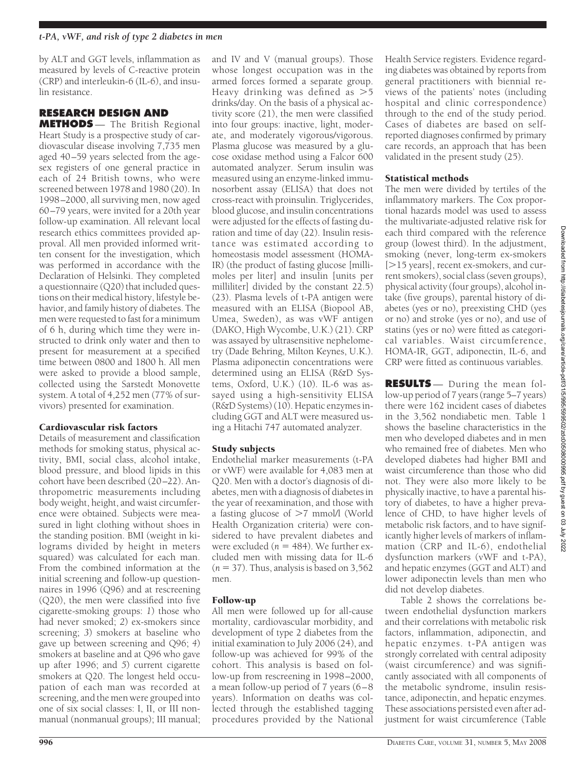#### *t-PA, vWF, and risk of type 2 diabetes in men*

by ALT and GGT levels, inflammation as measured by levels of C-reactive protein (CRP) and interleukin-6 (IL-6), and insulin resistance.

# **RESEARCH DESIGN AND**

**METHODS** — The British Regional Heart Study is a prospective study of cardiovascular disease involving 7,735 men aged 40–59 years selected from the agesex registers of one general practice in each of 24 British towns, who were screened between 1978 and 1980 (20). In 1998–2000, all surviving men, now aged 60–79 years, were invited for a 20th year follow-up examination. All relevant local research ethics committees provided approval. All men provided informed written consent for the investigation, which was performed in accordance with the Declaration of Helsinki. They completed a questionnaire (Q20) that included questions on their medical history, lifestyle behavior, and family history of diabetes. The men were requested to fast for a minimum of 6 h, during which time they were instructed to drink only water and then to present for measurement at a specified time between 0800 and 1800 h. All men were asked to provide a blood sample, collected using the Sarstedt Monovette system. A total of 4,252 men (77% of survivors) presented for examination.

# Cardiovascular risk factors

Details of measurement and classification methods for smoking status, physical activity, BMI, social class, alcohol intake, blood pressure, and blood lipids in this cohort have been described (20–22). Anthropometric measurements including body weight, height, and waist circumference were obtained. Subjects were measured in light clothing without shoes in the standing position. BMI (weight in kilograms divided by height in meters squared) was calculated for each man. From the combined information at the initial screening and follow-up questionnaires in 1996 (Q96) and at rescreening (Q20), the men were classified into five cigarette-smoking groups: *1*) those who had never smoked; *2*) ex-smokers since screening; *3*) smokers at baseline who gave up between screening and Q96; *4*) smokers at baseline and at Q96 who gave up after 1996; and *5*) current cigarette smokers at Q20. The longest held occupation of each man was recorded at screening, and the men were grouped into one of six social classes: I, II, or III nonmanual (nonmanual groups); III manual;

and IV and V (manual groups). Those whose longest occupation was in the armed forces formed a separate group. Heavy drinking was defined as  $>5$ drinks/day. On the basis of a physical activity score (21), the men were classified into four groups: inactive, light, moderate, and moderately vigorous/vigorous. Plasma glucose was measured by a glucose oxidase method using a Falcor 600 automated analyzer. Serum insulin was measured using an enzyme-linked immunosorbent assay (ELISA) that does not cross-react with proinsulin. Triglycerides, blood glucose, and insulin concentrations were adjusted for the effects of fasting duration and time of day (22). Insulin resistance was estimated according to homeostasis model assessment (HOMA-IR) (the product of fasting glucose [millimoles per liter] and insulin [units per milliliter] divided by the constant 22.5) (23). Plasma levels of t-PA antigen were measured with an ELISA (Biopool AB, Umea, Sweden), as was vWF antigen (DAKO, High Wycombe, U.K.) (21). CRP was assayed by ultrasensitive nephelometry (Dade Behring, Milton Keynes, U.K.). Plasma adiponectin concentrations were determined using an ELISA (R&D Systems, Oxford, U.K.) (10). IL-6 was assayed using a high-sensitivity ELISA (R&D Systems) (10). Hepatic enzymes including GGT and ALT were measured using a Hitachi 747 automated analyzer.

### Study subjects

Endothelial marker measurements (t-PA or vWF) were available for 4,083 men at Q20. Men with a doctor's diagnosis of diabetes, men with a diagnosis of diabetes in the year of reexamination, and those with a fasting glucose of  $>7$  mmol/l (World Health Organization criteria) were considered to have prevalent diabetes and were excluded  $(n = 484)$ . We further excluded men with missing data for IL-6  $(n = 37)$ . Thus, analysis is based on  $3,562$ men.

### Follow-up

All men were followed up for all-cause mortality, cardiovascular morbidity, and development of type 2 diabetes from the initial examination to July 2006 (24), and follow-up was achieved for 99% of the cohort. This analysis is based on follow-up from rescreening in 1998–2000, a mean follow-up period of 7 years (6–8 years). Information on deaths was collected through the established tagging procedures provided by the National

Health Service registers. Evidence regarding diabetes was obtained by reports from general practitioners with biennial reviews of the patients' notes (including hospital and clinic correspondence) through to the end of the study period. Cases of diabetes are based on selfreported diagnoses confirmed by primary care records, an approach that has been validated in the present study (25).

## Statistical methods

The men were divided by tertiles of the inflammatory markers. The Cox proportional hazards model was used to assess the multivariate-adjusted relative risk for each third compared with the reference group (lowest third). In the adjustment, smoking (never, long-term ex-smokers [>15 years], recent ex-smokers, and current smokers), social class (seven groups), physical activity (four groups), alcohol intake (five groups), parental history of diabetes (yes or no), preexisting CHD (yes or no) and stroke (yes or no), and use of statins (yes or no) were fitted as categorical variables. Waist circumference, HOMA-IR, GGT, adiponectin, IL-6, and CRP were fitted as continuous variables.

**RESULTS** — During the mean follow-up period of 7 years (range 5–7 years) there were 162 incident cases of diabetes in the 3,562 nondiabetic men. Table 1 shows the baseline characteristics in the men who developed diabetes and in men who remained free of diabetes. Men who developed diabetes had higher BMI and waist circumference than those who did not. They were also more likely to be physically inactive, to have a parental history of diabetes, to have a higher prevalence of CHD, to have higher levels of metabolic risk factors, and to have significantly higher levels of markers of inflammation (CRP and IL-6), endothelial dysfunction markers (vWF and t-PA), and hepatic enzymes (GGT and ALT) and lower adiponectin levels than men who did not develop diabetes.

Table 2 shows the correlations between endothelial dysfunction markers and their correlations with metabolic risk factors, inflammation, adiponectin, and hepatic enzymes. t-PA antigen was strongly correlated with central adiposity (waist circumference) and was significantly associated with all components of the metabolic syndrome, insulin resistance, adiponectin, and hepatic enzymes. These associations persisted even after adjustment for waist circumference (Table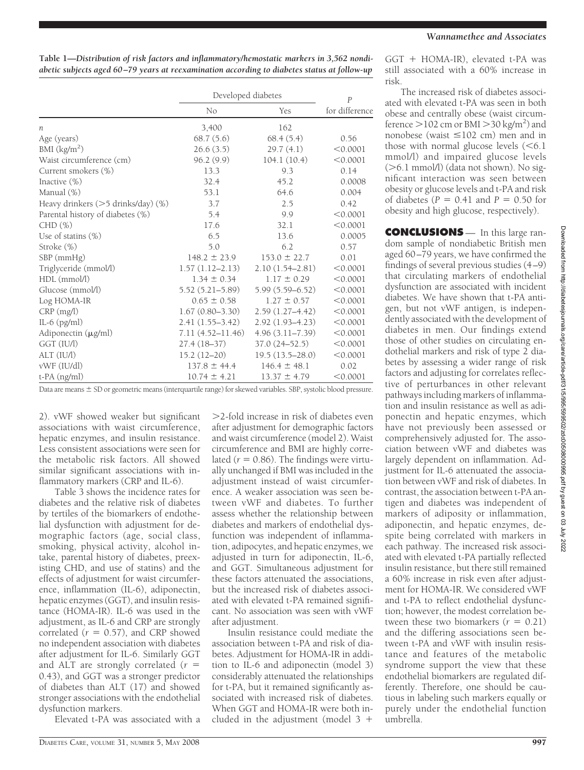| Table 1—Distribution of risk factors and inflammatory/hemostatic markers in 3,562 nondi-    |
|---------------------------------------------------------------------------------------------|
| abetic subjects aged 60–79 years at reexamination according to diabetes status at follow-up |

|                                    | Developed diabetes   | $\overline{P}$      |                |
|------------------------------------|----------------------|---------------------|----------------|
|                                    | No                   | Yes                 | for difference |
| $\boldsymbol{n}$                   | 3,400                | 162                 |                |
| Age (years)                        | 68.7(5.6)            | 68.4(5.4)           | 0.56           |
| BMI (kg/m <sup>2</sup> )           | 26.6(3.5)            | 29.7(4.1)           | < 0.0001       |
| Waist circumference (cm)           | 96.2(9.9)            | 104.1(10.4)         | < 0.0001       |
| Current smokers (%)                | 13.3                 | 9.3                 | 0.14           |
| Inactive $(\%)$                    | 32.4                 | 45.2                | 0.0008         |
| Manual (%)                         | 53.1                 | 64.6                | 0.004          |
| Heavy drinkers (>5 drinks/day) (%) | 3.7                  | 2.5                 | 0.42           |
| Parental history of diabetes (%)   | 5.4                  | 9.9                 | < 0.0001       |
| $CHD(\%)$                          | 17.6                 | 32.1                | < 0.0001       |
| Use of statins $(\%)$              | 6.5                  | 13.6                | 0.0005         |
| Stroke (%)                         | 5.0                  | 6.2                 | 0.57           |
| SBP (mmHg)                         | $148.2 \pm 23.9$     | $153.0 \pm 22.7$    | 0.01           |
| Triglyceride (mmol/l)              | $1.57(1.12 - 2.13)$  | $2.10(1.54 - 2.81)$ | < 0.0001       |
| HDL (mmol/l)                       | $1.34 \pm 0.34$      | $1.17 \pm 0.29$     | < 0.0001       |
| Glucose (mmol/l)                   | $5.52(5.21 - 5.89)$  | $5.99(5.59 - 6.52)$ | < 0.0001       |
| Log HOMA-IR                        | $0.65 \pm 0.58$      | $1.27 \pm 0.57$     | < 0.0001       |
| $CRP$ (mg/l)                       | $1.67(0.80 - 3.30)$  | $2.59(1.27 - 4.42)$ | < 0.0001       |
| $IL-6$ (pg/ml)                     | $2.41(1.55-3.42)$    | $2.92(1.93 - 4.23)$ | < 0.0001       |
| Adiponectin $(\mu g/ml)$           | $7.11(4.52 - 11.46)$ | $4.96(3.11 - 7.39)$ | < 0.0001       |
| GGT (IU/l)                         | $27.4(18-37)$        | $37.0(24 - 52.5)$   | < 0.0001       |
| ALT (IU/I)                         | $15.2(12-20)$        | 19.5 (13.5-28.0)    | < 0.0001       |
| vWF (IU/dl)                        | $137.8 \pm 44.4$     | $146.4 \pm 48.1$    | 0.02           |
| $t-PA$ (ng/ml)                     | $10.74 \pm 4.21$     | $13.37 \pm 4.79$    | < 0.0001       |

GGT + HOMA-IR), elevated t-PA was still associated with a 60% increase in risk.

The increased risk of diabetes associated with elevated t-PA was seen in both obese and centrally obese (waist circumference  $>$  102 cm or BMI  $>$  30 kg/m<sup>2</sup>) and nonobese (waist  $\leq 102$  cm) men and in those with normal glucose levels  $(< 6.1$ mmol/l) and impaired glucose levels  $($ >6.1 mmol $/$ l) (data not shown). No significant interaction was seen between obesity or glucose levels and t-PA and risk of diabetes ( $P = 0.41$  and  $P = 0.50$  for obesity and high glucose, respectively).

**CONCLUSIONS** — In this large random sample of nondiabetic British men aged 60–79 years, we have confirmed the findings of several previous studies (4–9) that circulating markers of endothelial dysfunction are associated with incident diabetes. We have shown that t-PA antigen, but not vWF antigen, is independently associated with the development of diabetes in men. Our findings extend those of other studies on circulating endothelial markers and risk of type 2 diabetes by assessing a wider range of risk factors and adjusting for correlates reflective of perturbances in other relevant pathways including markers of inflammation and insulin resistance as well as adiponectin and hepatic enzymes, which have not previously been assessed or comprehensively adjusted for. The association between vWF and diabetes was largely dependent on inflammation. Adjustment for IL-6 attenuated the association between vWF and risk of diabetes. In contrast, the association between t-PA antigen and diabetes was independent of markers of adiposity or inflammation, adiponectin, and hepatic enzymes, despite being correlated with markers in each pathway. The increased risk associated with elevated t-PA partially reflected insulin resistance, but there still remained a 60% increase in risk even after adjustment for HOMA-IR. We considered vWF and t-PA to reflect endothelial dysfunction; however, the modest correlation between these two biomarkers  $(r = 0.21)$ and the differing associations seen between t-PA and vWF with insulin resistance and features of the metabolic syndrome support the view that these endothelial biomarkers are regulated differently. Therefore, one should be cautious in labeling such markers equally or purely under the endothelial function umbrella.

Data are means  $\pm$  SD or geometric means (interquartile range) for skewed variables. SBP, systolic blood pressure.

2). vWF showed weaker but significant associations with waist circumference, hepatic enzymes, and insulin resistance. Less consistent associations were seen for the metabolic risk factors. All showed similar significant associations with inflammatory markers (CRP and IL-6).

Table 3 shows the incidence rates for diabetes and the relative risk of diabetes by tertiles of the biomarkers of endothelial dysfunction with adjustment for demographic factors (age, social class, smoking, physical activity, alcohol intake, parental history of diabetes, preexisting CHD, and use of statins) and the effects of adjustment for waist circumference, inflammation (IL-6), adiponectin, hepatic enzymes (GGT), and insulin resistance (HOMA-IR). IL-6 was used in the adjustment, as IL-6 and CRP are strongly correlated  $(r = 0.57)$ , and CRP showed no independent association with diabetes after adjustment for IL-6. Similarly GGT and ALT are strongly correlated  $(r =$ 0.43), and GGT was a stronger predictor of diabetes than ALT (17) and showed stronger associations with the endothelial dysfunction markers.

Elevated t-PA was associated with a

2-fold increase in risk of diabetes even after adjustment for demographic factors and waist circumference (model 2). Waist circumference and BMI are highly correlated  $(r = 0.86)$ . The findings were virtually unchanged if BMI was included in the adjustment instead of waist circumference. A weaker association was seen between vWF and diabetes. To further assess whether the relationship between diabetes and markers of endothelial dysfunction was independent of inflammation, adipocytes, and hepatic enzymes, we adjusted in turn for adiponectin, IL-6, and GGT. Simultaneous adjustment for these factors attenuated the associations, but the increased risk of diabetes associated with elevated t-PA remained significant. No association was seen with vWF after adjustment.

Insulin resistance could mediate the association between t-PA and risk of diabetes. Adjustment for HOMA-IR in addition to IL-6 and adiponectin (model 3) considerably attenuated the relationships for t-PA, but it remained significantly associated with increased risk of diabetes. When GGT and HOMA-IR were both included in the adjustment (model  $3 +$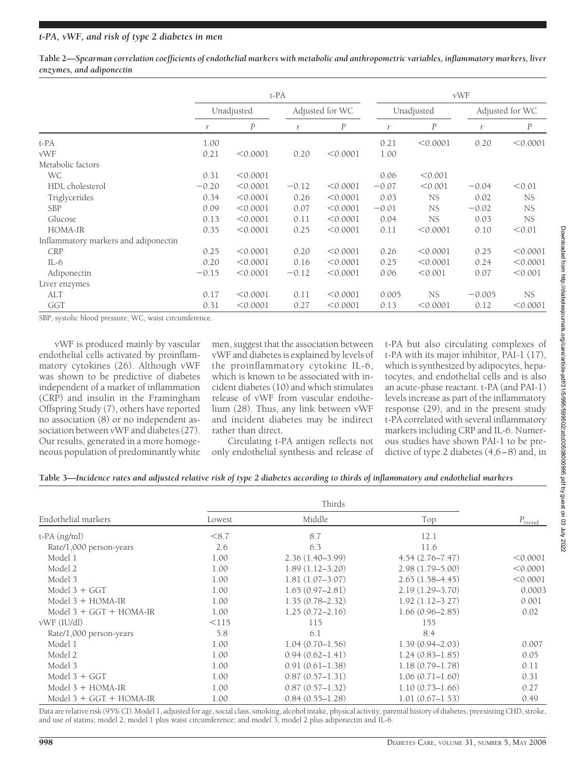| Table 2—Spearman correlation coefficients of endothelial markers with metabolic and anthropometric variables, inflammatory markers, liver |  |
|-------------------------------------------------------------------------------------------------------------------------------------------|--|
| enzymes, and adiponectin                                                                                                                  |  |

|                                      | t-PA       |                  |                 |                  | vWF        |                |                 |                  |
|--------------------------------------|------------|------------------|-----------------|------------------|------------|----------------|-----------------|------------------|
|                                      | Unadjusted |                  | Adjusted for WC |                  | Unadjusted |                | Adjusted for WC |                  |
|                                      | r          | $\boldsymbol{P}$ | r               | $\boldsymbol{P}$ | r          | $\overline{P}$ | r               | $\boldsymbol{P}$ |
| t-PA                                 | 1.00       |                  |                 |                  | 0.21       | < 0.0001       | 0.20            | < 0.0001         |
| vWF                                  | 0.21       | < 0.0001         | 0.20            | < 0.0001         | 1.00       |                |                 |                  |
| Metabolic factors                    |            |                  |                 |                  |            |                |                 |                  |
| WC                                   | 0.31       | < 0.0001         |                 |                  | 0.06       | < 0.001        |                 |                  |
| HDL cholesterol                      | $-0.20$    | < 0.0001         | $-0.12$         | < 0.0001         | $-0.07$    | < 0.001        | $-0.04$         | < 0.01           |
| Triglycerides                        | 0.34       | < 0.0001         | 0.26            | < 0.0001         | 0.03       | <b>NS</b>      | 0.02            | <b>NS</b>        |
| <b>SBP</b>                           | 0.09       | < 0.0001         | 0.07            | < 0.0001         | $-0.01$    | NS             | $-0.02$         | NS.              |
| Glucose                              | 0.13       | < 0.0001         | 0.11            | < 0.0001         | 0.04       | <b>NS</b>      | 0.03            | NS.              |
| HOMA-IR                              | 0.35       | < 0.0001         | 0.25            | < 0.0001         | 0.11       | < 0.0001       | 0.10            | < 0.01           |
| Inflammatory markers and adiponectin |            |                  |                 |                  |            |                |                 |                  |
| <b>CRP</b>                           | 0.25       | < 0.0001         | 0.20            | < 0.0001         | 0.26       | < 0.0001       | 0.25            | < 0.0001         |
| $IL-6$                               | 0.20       | < 0.0001         | 0.16            | < 0.0001         | 0.25       | < 0.0001       | 0.24            | < 0.0001         |
| Adiponectin                          | $-0.15$    | < 0.0001         | $-0.12$         | < 0.0001         | 0.06       | < 0.001        | 0.07            | < 0.001          |
| Liver enzymes                        |            |                  |                 |                  |            |                |                 |                  |
| <b>ALT</b>                           | 0.17       | < 0.0001         | 0.11            | < 0.0001         | 0.005      | <b>NS</b>      | $-0.005$        | NS.              |
| GGT                                  | 0.31       | < 0.0001         | 0.27            | < 0.0001         | 0.13       | < 0.0001       | 0.12            | < 0.0001         |

SBP, systolic blood pressure; WC, waist circumference.

vWF is produced mainly by vascular endothelial cells activated by proinflammatory cytokines (26). Although vWF was shown to be predictive of diabetes independent of a marker of inflammation (CRP) and insulin in the Framingham Offspring Study (7), others have reported no association (8) or no independent association between vWF and diabetes (27). Our results, generated in a more homogeneous population of predominantly white

men, suggest that the association between vWF and diabetes is explained by levels of the proinflammatory cytokine IL-6, which is known to be associated with incident diabetes (10) and which stimulates release of vWF from vascular endothelium (28). Thus, any link between vWF and incident diabetes may be indirect rather than direct.

Circulating t-PA antigen reflects not only endothelial synthesis and release of t-PA but also circulating complexes of t-PA with its major inhibitor, PAI-1 (17), which is synthesized by adipocytes, hepatocytes, and endothelial cells and is also an acute-phase reactant. t-PA (and PAI-1) levels increase as part of the inflammatory response (29), and in the present study t-PA correlated with several inflammatory markers including CRP and IL-6. Numerous studies have shown PAI-1 to be predictive of type 2 diabetes (4,6–8) and, in

| Table 3—Incidence rates and adjusted relative risk of type 2 diabetes according to thirds of inflammatory and endothelial markers |
|-----------------------------------------------------------------------------------------------------------------------------------|
|-----------------------------------------------------------------------------------------------------------------------------------|

| Endothelial markers       | Lowest  | Middle              | Top                 | $P_{\rm trend}$ |  |
|---------------------------|---------|---------------------|---------------------|-----------------|--|
| $t$ -PA $(ng/ml)$         | < 8.7   | 8.7                 | 12.1                |                 |  |
| Rate/1,000 person-years   | 2.6     | 6.3                 | 11.6                |                 |  |
| Model 1                   | 1.00    | $2.36(1.40-3.99)$   | $4.54(2.76 - 7.47)$ | < 0.0001        |  |
| Model 2                   | 1.00    | $1.89(1.12 - 3.20)$ | $2.98(1.79 - 5.00)$ | < 0.0001        |  |
| Model 3                   | 1.00    | $1.81(1.07-3.07)$   | $2.65(1.58-4.45)$   | < 0.0001        |  |
| Model $3 + GGT$           | 1.00    | $1.65(0.97-2.81)$   | $2.19(1.29 - 3.70)$ | 0.0003          |  |
| Model $3 + HOMA-IR$       | 1.00    | $1.35(0.78 - 2.32)$ | $1.92(1.12 - 3.27)$ | 0.001           |  |
| Model $3 + GGT + HOMA-IR$ | 1.00    | $1.25(0.72 - 2.16)$ | $1.66(0.96 - 2.85)$ | 0.02            |  |
| vWF (IU/dl)               | $<$ 115 | 115                 | 155                 |                 |  |
| Rate/1,000 person-years   | 5.8     | 6.1                 | 8.4                 |                 |  |
| Model 1                   | 1.00    | $1.04(0.70 - 1.56)$ | $1.39(0.94 - 2.03)$ | 0.007           |  |
| Model 2                   | 1.00    | $0.94(0.62 - 1.41)$ | $1.24(0.83 - 1.85)$ | 0.05            |  |
| Model 3                   | 1.00    | $0.91(0.61 - 1.38)$ | $1.18(0.79 - 1.78)$ | 0.11            |  |
| Model $3 + GGT$           | 1.00    | $0.87(0.57 - 1.31)$ | $1.06(0.71 - 1.60)$ | 0.31            |  |
| Model $3 + HOMA-IR$       | 1.00    | $0.87(0.57 - 1.32)$ | $1.10(0.73 - 1.66)$ | 0.27            |  |
| Model $3 + GGT + HOMA-IR$ | 1.00    | $0.84(0.55 - 1.28)$ | $1.01(0.67 - 1.53)$ | 0.49            |  |

Data are relative risk (95% CI). Model 1, adjusted for age, social class, smoking, alcohol intake, physical activity, parental history of diabetes, preexisting CHD, stroke, and use of statins; model 2, model 1 plus waist circumference; and model 3, model 2 plus adiponectin and IL-6.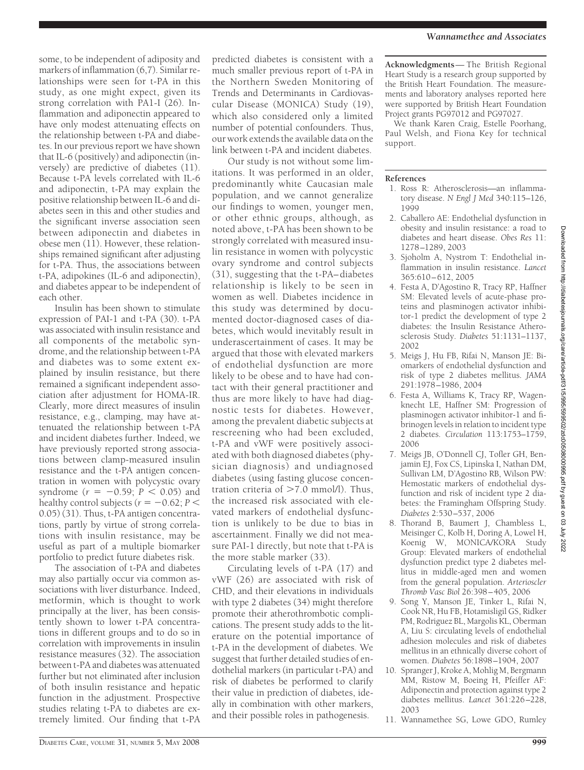some, to be independent of adiposity and markers of inflammation (6,7). Similar relationships were seen for t-PA in this study, as one might expect, given its strong correlation with PA1-I (26). Inflammation and adiponectin appeared to have only modest attenuating effects on the relationship between t-PA and diabetes. In our previous report we have shown that IL-6 (positively) and adiponectin (inversely) are predictive of diabetes (11). Because t-PA levels correlated with IL-6 and adiponectin, t-PA may explain the positive relationship between IL-6 and diabetes seen in this and other studies and the significant inverse association seen between adiponectin and diabetes in obese men (11). However, these relationships remained significant after adjusting for t-PA. Thus, the associations between t-PA, adipokines (IL-6 and adiponectin), and diabetes appear to be independent of each other.

Insulin has been shown to stimulate expression of PAI-1 and t-PA (30). t-PA was associated with insulin resistance and all components of the metabolic syndrome, and the relationship between t-PA and diabetes was to some extent explained by insulin resistance, but there remained a significant independent association after adjustment for HOMA-IR. Clearly, more direct measures of insulin resistance, e.g., clamping, may have attenuated the relationship between t-PA and incident diabetes further. Indeed, we have previously reported strong associations between clamp-measured insulin resistance and the t-PA antigen concentration in women with polycystic ovary syndrome  $(r = -0.59; P < 0.05)$  and healthy control subjects ( $r = -0.62; P <$ 0.05) (31). Thus, t-PA antigen concentrations, partly by virtue of strong correlations with insulin resistance, may be useful as part of a multiple biomarker portfolio to predict future diabetes risk.

The association of t-PA and diabetes may also partially occur via common associations with liver disturbance. Indeed, metformin, which is thought to work principally at the liver, has been consistently shown to lower t-PA concentrations in different groups and to do so in correlation with improvements in insulin resistance measures (32). The association between t-PA and diabetes was attenuated further but not eliminated after inclusion of both insulin resistance and hepatic function in the adjustment. Prospective studies relating t-PA to diabetes are extremely limited. Our finding that t-PA

predicted diabetes is consistent with a much smaller previous report of t-PA in the Northern Sweden Monitoring of Trends and Determinants in Cardiovascular Disease (MONICA) Study (19), which also considered only a limited number of potential confounders. Thus, our work extends the available data on the link between t-PA and incident diabetes.

Our study is not without some limitations. It was performed in an older, predominantly white Caucasian male population, and we cannot generalize our findings to women, younger men, or other ethnic groups, although, as noted above, t-PA has been shown to be strongly correlated with measured insulin resistance in women with polycystic ovary syndrome and control subjects (31), suggesting that the t-PA–diabetes relationship is likely to be seen in women as well. Diabetes incidence in this study was determined by documented doctor-diagnosed cases of diabetes, which would inevitably result in underascertainment of cases. It may be argued that those with elevated markers of endothelial dysfunction are more likely to be obese and to have had contact with their general practitioner and thus are more likely to have had diagnostic tests for diabetes. However, among the prevalent diabetic subjects at rescreening who had been excluded, t-PA and vWF were positively associated with both diagnosed diabetes (physician diagnosis) and undiagnosed diabetes (using fasting glucose concentration criteria of  $>7.0$  mmol/l). Thus, the increased risk associated with elevated markers of endothelial dysfunction is unlikely to be due to bias in ascertainment. Finally we did not measure PAI-1 directly, but note that t-PA is the more stable marker (33).

Circulating levels of t-PA (17) and vWF (26) are associated with risk of CHD, and their elevations in individuals with type 2 diabetes (34) might therefore promote their atherothrombotic complications. The present study adds to the literature on the potential importance of t-PA in the development of diabetes. We suggest that further detailed studies of endothelial markers (in particular t-PA) and risk of diabetes be performed to clarify their value in prediction of diabetes, ideally in combination with other markers, and their possible roles in pathogenesis.

**Acknowledgments**— The British Regional Heart Study is a research group supported by the British Heart Foundation. The measurements and laboratory analyses reported here were supported by British Heart Foundation Project grants PG97012 and PG97027.

We thank Karen Craig, Estelle Poorhang, Paul Welsh, and Fiona Key for technical support.

#### **References**

- 1. Ross R: Atherosclerosis—an inflammatory disease. *N Engl J Med* 340:115–126, 1999
- 2. Caballero AE: Endothelial dysfunction in obesity and insulin resistance: a road to diabetes and heart disease. *Obes Res* 11: 1278–1289, 2003
- 3. Sjoholm A, Nystrom T: Endothelial inflammation in insulin resistance. *Lancet* 365:610–612, 2005
- 4. Festa A, D'Agostino R, Tracy RP, Haffner SM: Elevated levels of acute-phase proteins and plasminogen activator inhibitor-1 predict the development of type 2 diabetes: the Insulin Resistance Atherosclerosis Study. *Diabetes* 51:1131–1137, 2002
- 5. Meigs J, Hu FB, Rifai N, Manson JE: Biomarkers of endothelial dysfunction and risk of type 2 diabetes mellitus. *JAMA* 291:1978–1986, 2004
- 6. Festa A, Williams K, Tracy RP, Wagenknecht LE, Haffner SM: Progression of plasminogen activator inhibitor-1 and fibrinogen levels in relation to incident type 2 diabetes. *Circulation* 113:1753–1759, 2006
- 7. Meigs JB, O'Donnell CJ, Tofler GH, Benjamin EJ, Fox CS, Lipinska I, Nathan DM, Sullivan LM, D'Agostino RB, Wilson PW: Hemostatic markers of endothelial dysfunction and risk of incident type 2 diabetes: the Framingham Offspring Study. *Diabetes* 2:530–537, 2006
- 8. Thorand B, Baumert J, Chambless L, Meisinger C, Kolb H, Doring A, Lowel H, Koenig W, MONICA/KORA Study Group: Elevated markers of endothelial dysfunction predict type 2 diabetes mellitus in middle-aged men and women from the general population. *Arterioscler Thromb Vasc Biol* 26:398–405, 2006
- 9. Song Y, Manson JE, Tinker L, Rifai N, Cook NR, Hu FB, Hotamisligil GS, Ridker PM, Rodriguez BL, Margolis KL, Oberman A, Liu S: circulating levels of endothelial adhesion molecules and risk of diabetes mellitus in an ethnically diverse cohort of women. *Diabetes* 56:1898–1904, 2007
- 10. Spranger J, Kroke A, Mohlig M, Bergmann MM, Ristow M, Boeing H, Pfeiffer AF: Adiponectin and protection against type 2 diabetes mellitus. *Lancet* 361:226–228, 2003
- 11. Wannamethee SG, Lowe GDO, Rumley